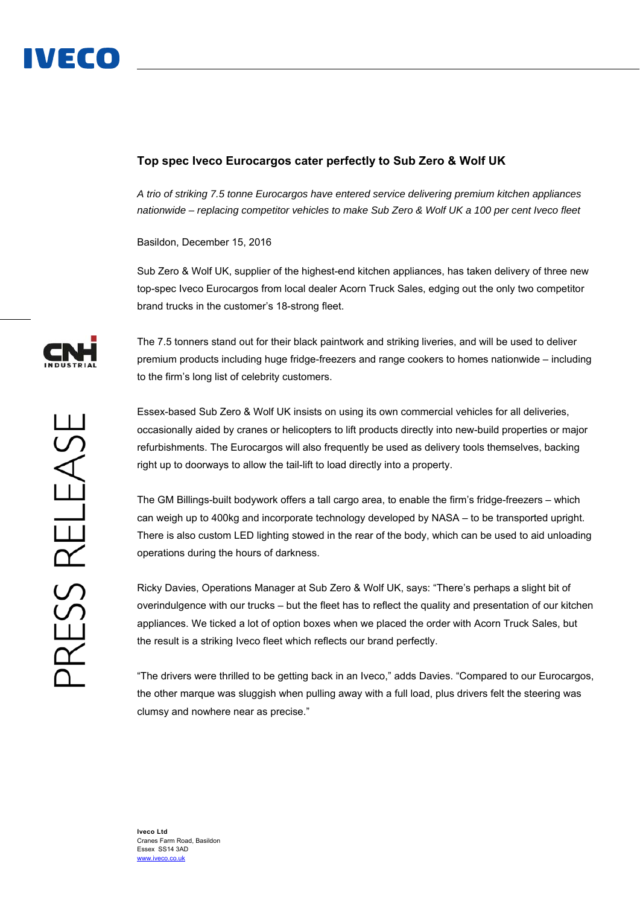## **Top spec Iveco Eurocargos cater perfectly to Sub Zero & Wolf UK**

*A trio of striking 7.5 tonne Eurocargos have entered service delivering premium kitchen appliances nationwide – replacing competitor vehicles to make Sub Zero & Wolf UK a 100 per cent Iveco fleet* 

Basildon, December 15, 2016

Sub Zero & Wolf UK, supplier of the highest-end kitchen appliances, has taken delivery of three new top-spec Iveco Eurocargos from local dealer Acorn Truck Sales, edging out the only two competitor brand trucks in the customer's 18-strong fleet.

The 7.5 tonners stand out for their black paintwork and striking liveries, and will be used to deliver premium products including huge fridge-freezers and range cookers to homes nationwide – including to the firm's long list of celebrity customers.

Essex-based Sub Zero & Wolf UK insists on using its own commercial vehicles for all deliveries, occasionally aided by cranes or helicopters to lift products directly into new-build properties or major refurbishments. The Eurocargos will also frequently be used as delivery tools themselves, backing right up to doorways to allow the tail-lift to load directly into a property.

The GM Billings-built bodywork offers a tall cargo area, to enable the firm's fridge-freezers – which can weigh up to 400kg and incorporate technology developed by NASA – to be transported upright. There is also custom LED lighting stowed in the rear of the body, which can be used to aid unloading operations during the hours of darkness.

Ricky Davies, Operations Manager at Sub Zero & Wolf UK, says: "There's perhaps a slight bit of overindulgence with our trucks – but the fleet has to reflect the quality and presentation of our kitchen appliances. We ticked a lot of option boxes when we placed the order with Acorn Truck Sales, but the result is a striking Iveco fleet which reflects our brand perfectly.

"The drivers were thrilled to be getting back in an Iveco," adds Davies. "Compared to our Eurocargos, the other marque was sluggish when pulling away with a full load, plus drivers felt the steering was clumsy and nowhere near as precise."



**Iveco Ltd**  Cranes Farm Road, Basildon Essex SS14 3AD www.iveco.co.uk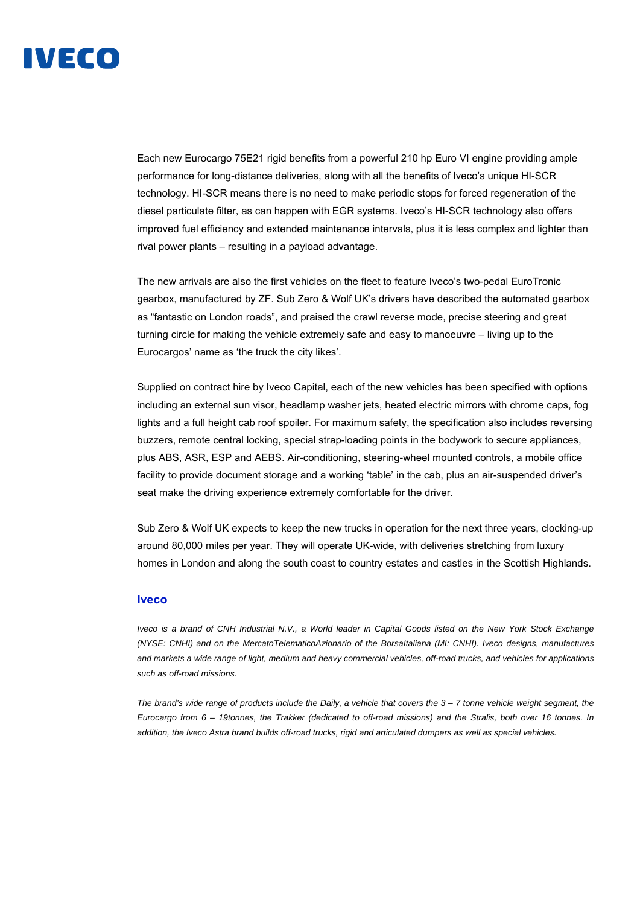

Each new Eurocargo 75E21 rigid benefits from a powerful 210 hp Euro VI engine providing ample performance for long-distance deliveries, along with all the benefits of Iveco's unique HI-SCR technology. HI-SCR means there is no need to make periodic stops for forced regeneration of the diesel particulate filter, as can happen with EGR systems. Iveco's HI-SCR technology also offers improved fuel efficiency and extended maintenance intervals, plus it is less complex and lighter than rival power plants – resulting in a payload advantage.

The new arrivals are also the first vehicles on the fleet to feature Iveco's two-pedal EuroTronic gearbox, manufactured by ZF. Sub Zero & Wolf UK's drivers have described the automated gearbox as "fantastic on London roads", and praised the crawl reverse mode, precise steering and great turning circle for making the vehicle extremely safe and easy to manoeuvre – living up to the Eurocargos' name as 'the truck the city likes'.

Supplied on contract hire by Iveco Capital, each of the new vehicles has been specified with options including an external sun visor, headlamp washer jets, heated electric mirrors with chrome caps, fog lights and a full height cab roof spoiler. For maximum safety, the specification also includes reversing buzzers, remote central locking, special strap-loading points in the bodywork to secure appliances, plus ABS, ASR, ESP and AEBS. Air-conditioning, steering-wheel mounted controls, a mobile office facility to provide document storage and a working 'table' in the cab, plus an air-suspended driver's seat make the driving experience extremely comfortable for the driver.

Sub Zero & Wolf UK expects to keep the new trucks in operation for the next three years, clocking-up around 80,000 miles per year. They will operate UK-wide, with deliveries stretching from luxury homes in London and along the south coast to country estates and castles in the Scottish Highlands.

## **Iveco**

*Iveco is a brand of CNH Industrial N.V., a World leader in Capital Goods listed on the New York Stock Exchange (NYSE: CNHI) and on the MercatoTelematicoAzionario of the BorsaItaliana (MI: CNHI). Iveco designs, manufactures and markets a wide range of light, medium and heavy commercial vehicles, off-road trucks, and vehicles for applications such as off-road missions.* 

*The brand's wide range of products include the Daily, a vehicle that covers the 3 – 7 tonne vehicle weight segment, the Eurocargo from 6 – 19tonnes, the Trakker (dedicated to off-road missions) and the Stralis, both over 16 tonnes. In addition, the Iveco Astra brand builds off-road trucks, rigid and articulated dumpers as well as special vehicles.*